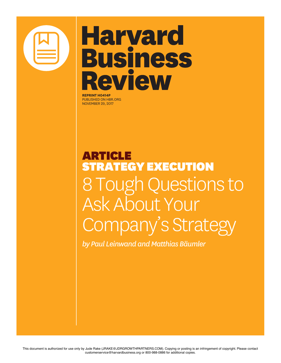

## **Harvard Business** Review

**REPRINT H0414P** PUBLISHED ON HBR.ORG NOVEMBER 29, 2017

## ARTICLE STRATEGY EXECUTION 8 Tough Questions to Ask About Your Company's Strategy

*by Paul Leinwand and Matthias Bäumler*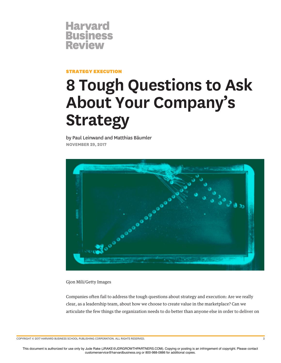

STRATEGY EXECUTION

## **8 Tough Questions to Ask About Your Company's Strategy**

by Paul Leinwand and Matthias Bäumler **NOVEMBER 29, 2017**



Gjon Mili/Getty Images

Companies often fail to address the tough questions about strategy and execution: Are we really clear, as a leadership team, about how we choose to create value in the marketplace? Can we articulate the few things the organization needs to do better than anyone else in order to deliver on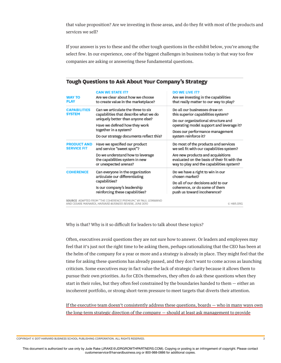that value proposition? Are we investing in those areas, and do they ft with most of the products and services we sell?

If your answer is yes to these and the other tough questions in the exhibit below, you're among the select few. In our experience, one of the biggest challenges in business today is that way too few companies are asking or answering these fundamental questions.

| <b>WAY TO</b><br><b>PLAY</b>             | <b>CAN WE STATE IT?</b><br>Are we clear about how we choose<br>to create value in the marketplace?                                                                                                                    | <b>DO WE LIVE IT?</b><br>Are we investing in the capabilities<br>that really matter to our way to play?                                                                                                            |
|------------------------------------------|-----------------------------------------------------------------------------------------------------------------------------------------------------------------------------------------------------------------------|--------------------------------------------------------------------------------------------------------------------------------------------------------------------------------------------------------------------|
| <b>CAPABILITIES</b><br><b>SYSTEM</b>     | Can we articulate the three to six<br>capabilities that describe what we do<br>uniquely better than anyone else?<br>Have we defined how they work<br>together in a system?<br>Do our strategy documents reflect this? | Do all our businesses draw on<br>this superior capabilities system?<br>Do our organizational structure and<br>operating model support and leverage it?<br>Does our performance management<br>system reinforce it?  |
| <b>PRODUCT AND</b><br><b>SERVICE FIT</b> | Have we specified our product<br>and service "sweet spot"?<br>Do we understand how to leverage<br>the capabilities system in new<br>or unexpected arenas?                                                             | Do most of the products and services<br>we sell fit with our capabilities system?<br>Are new products and acquisitions<br>evaluated on the basis of their fit with the<br>way to play and the capabilities system? |
| <b>COHERENCE</b>                         | Can everyone in the organization<br>articulate our differentiating<br>capabilities?<br>Is our company's leadership<br>reinforcing these capabilities?                                                                 | Do we have a right to win in our<br>chosen market?<br>Do all of our decisions add to our<br>coherence, or do some of them<br>push us toward incoherence?                                                           |

## Tough Questions to Ask About Your Company's Strategy

SOURCE ADAPTED FROM "THE COHERENCE PREMIUM," BY PAUL LEINWAND<br>AND CESARE MAINARDI, HARVARD BUSINESS REVIEW, JUNE 2010

C HBR.ORG

Why is that? Why is it so difficult for leaders to talk about these topics?

Often, executives avoid questions they are not sure how to answer. Or leaders and employees may feel that it's just not the right time to be asking them, perhaps rationalizing that the CEO has been at the helm of the company for a year or more and a strategy is already in place. They might feel that the time for asking these questions has already passed, and they don't want to come across as launching criticism. Some executives may in fact value the lack of strategic clarity because it allows them to pursue their own priorities. As for CEOs themselves, they often do ask these questions when they start in their roles, but they often feel constrained by the boundaries handed to them — either an incoherent portfolio, or strong short-term pressure to meet targets that diverts their attention.

If the executive team doesn't consistently address these questions, boards — who in many ways own the long-term strategic direction of the company — should at least ask management to provide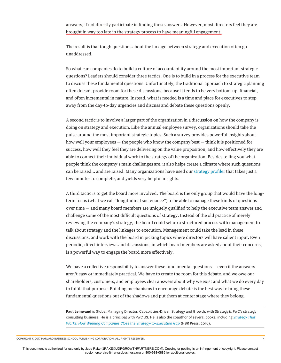answers, if not directly participate in fnding those answers. However, most directors feel they are brought in way too late in the strategy process to have meaningful engagement.

The result is that tough questions about the linkage between strategy and execution often go unaddressed.

So what can companies do to build a culture of accountability around the most important strategic questions? Leaders should consider three tactics: One is to build in a process for the executive team to discuss these fundamental questions. Unfortunately, the traditional approach to strategic planning often doesn't provide room for these discussions, because it tends to be very bottom-up, fnancial, and often incremental in nature. Instead, what is needed is a time and place for executives to step away from the day-to-day urgencies and discuss and debate these questions openly.

A second tactic is to involve a larger part of the organization in a discussion on how the company is doing on strategy and execution. Like the annual employee survey, organizations should take the pulse around the most important strategic topics. Such a survey provides powerful insights about how well your employees — the people who know the company best — think it is positioned for success, how well they feel they are delivering on the value proposition, and how efectively they are able to connect their individual work to the strategy of the organization. Besides telling you what people think the company's main challenges are, it also helps create a climate where such questions can be raised… and are raised. Many organizations have used our strategy profler that takes just a few minutes to complete, and yields very helpful insights.

A third tactic is to get the board more involved. The board is the only group that would have the longterm focus (what we call "longitudinal sustenance") to be able to manage these kinds of questions over time — and many board members are uniquely qualifed to help the executive team answer and challenge some of the most difficult questions of strategy. Instead of the old practice of merely reviewing the company's strategy, the board could set up a structured process with management to talk about strategy and the linkages to execution. Management could take the lead in these discussions, and work with the board in picking topics where directors will have salient input. Even periodic, direct interviews and discussions, in which board members are asked about their concerns, is a powerful way to engage the board more efectively.

We have a collective responsibility to answer these fundamental questions — even if the answers aren't easy or immediately practical. We have to create the room for this debate, and we owe our shareholders, customers, and employees clear answers about why we exist and what we do every day to fulfll that purpose. Building mechanisms to encourage debate is the best way to bring these fundamental questions out of the shadows and put them at center stage where they belong.

**Paul Leinwand** is Global Managing Director, Capabilities-Driven Strategy and Growth, with Strategy&, PwC's strategy consulting business. He is a principal with PwC US. He is also the coauthor of several books, including *Strategy That Works: How Winning Companies Close the Strategy-to-Execution Gap* (HBR Press, 2016).